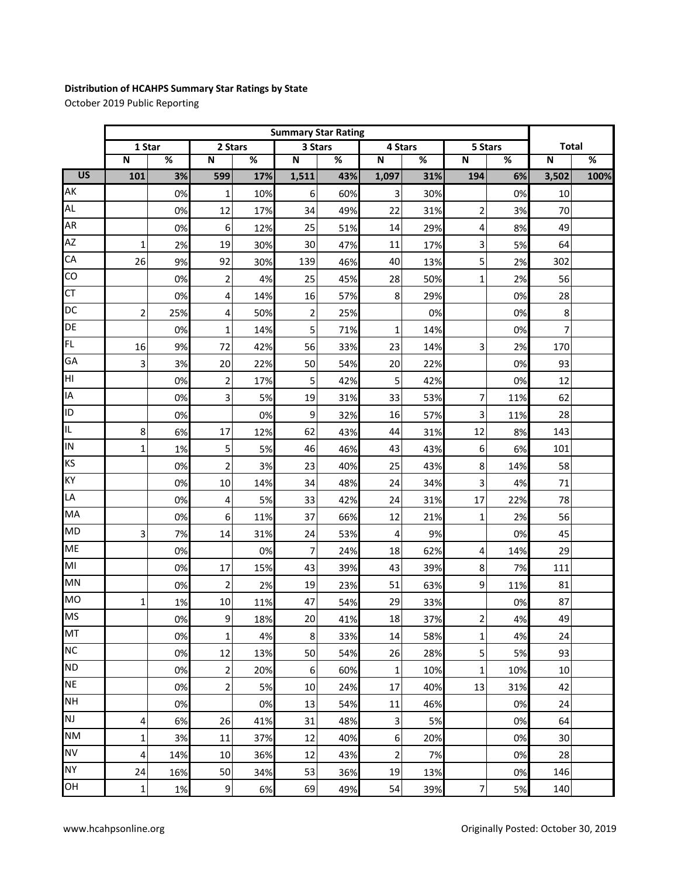## **Distribution of HCAHPS Summary Star Ratings by State**

October 2019 Public Reporting

|                 | <b>Summary Star Rating</b> |     |                         |      |                |      |              |     |                |      |              |      |
|-----------------|----------------------------|-----|-------------------------|------|----------------|------|--------------|-----|----------------|------|--------------|------|
|                 | 1 Star                     |     | 2 Stars                 |      | 3 Stars        |      | 4 Stars      |     | 5 Stars        |      | <b>Total</b> |      |
|                 | $\mathbf N$                | %   | $\mathsf N$             | $\%$ | $\mathsf N$    | $\%$ | $\mathsf{N}$ | %   | $\mathsf N$    | $\%$ | $\mathsf N$  | $\%$ |
| $\overline{US}$ | 101                        | 3%  | 599                     | 17%  | 1,511          | 43%  | 1,097        | 31% | 194            | 6%   | 3,502        | 100% |
| AK              |                            | 0%  | 1                       | 10%  | 6              | 60%  | 3            | 30% |                | 0%   | 10           |      |
| <b>AL</b>       |                            | 0%  | 12                      | 17%  | 34             | 49%  | 22           | 31% | 2              | 3%   | 70           |      |
| <b>AR</b>       |                            | 0%  | 6                       | 12%  | 25             | 51%  | 14           | 29% | 4              | 8%   | 49           |      |
| AZ              | $\mathbf{1}$               | 2%  | 19                      | 30%  | 30             | 47%  | 11           | 17% | 3              | 5%   | 64           |      |
| CA              | 26                         | 9%  | 92                      | 30%  | 139            | 46%  | 40           | 13% | 5              | 2%   | 302          |      |
| CO              |                            | 0%  | $\overline{\mathbf{c}}$ | 4%   | 25             | 45%  | 28           | 50% | 1              | 2%   | 56           |      |
| <b>CT</b>       |                            | 0%  | 4                       | 14%  | 16             | 57%  | 8            | 29% |                | 0%   | 28           |      |
| DC              | $\overline{2}$             | 25% | 4                       | 50%  | $\overline{2}$ | 25%  |              | 0%  |                | 0%   | 8            |      |
| DE              |                            | 0%  | 1                       | 14%  | 5              | 71%  | 1            | 14% |                | 0%   | 7            |      |
| FL              | 16                         | 9%  | 72                      | 42%  | 56             | 33%  | 23           | 14% | 3              | 2%   | 170          |      |
| GA              | 3                          | 3%  | 20                      | 22%  | 50             | 54%  | 20           | 22% |                | 0%   | 93           |      |
| НI              |                            | 0%  | $\overline{\mathbf{c}}$ | 17%  | 5              | 42%  | 5            | 42% |                | 0%   | 12           |      |
| ΙA              |                            | 0%  | 3                       | 5%   | 19             | 31%  | 33           | 53% | 7              | 11%  | 62           |      |
| ID              |                            | 0%  |                         | 0%   | 9              | 32%  | 16           | 57% | 3              | 11%  | 28           |      |
| IL              | 8                          | 6%  | 17                      | 12%  | 62             | 43%  | 44           | 31% | 12             | 8%   | 143          |      |
| IN              | 1                          | 1%  | 5                       | 5%   | 46             | 46%  | 43           | 43% | 6              | 6%   | 101          |      |
| KS              |                            | 0%  | $\overline{2}$          | 3%   | 23             | 40%  | 25           | 43% | 8              | 14%  | 58           |      |
| KY              |                            | 0%  | 10                      | 14%  | 34             | 48%  | 24           | 34% | 3              | 4%   | 71           |      |
| LA              |                            | 0%  | 4                       | 5%   | 33             | 42%  | 24           | 31% | 17             | 22%  | 78           |      |
| MA              |                            | 0%  | 6                       | 11%  | 37             | 66%  | 12           | 21% | $\mathbf 1$    | 2%   | 56           |      |
| <b>MD</b>       | 3                          | 7%  | 14                      | 31%  | 24             | 53%  | 4            | 9%  |                | 0%   | 45           |      |
| <b>ME</b>       |                            | 0%  |                         | 0%   | $\overline{7}$ | 24%  | 18           | 62% | 4              | 14%  | 29           |      |
| MI              |                            | 0%  | 17                      | 15%  | 43             | 39%  | 43           | 39% | 8              | 7%   | 111          |      |
| MN              |                            | 0%  | $\overline{\mathbf{c}}$ | 2%   | 19             | 23%  | 51           | 63% | 9              | 11%  | 81           |      |
| <b>MO</b>       | 1                          | 1%  | 10                      | 11%  | 47             | 54%  | 29           | 33% |                | 0%   | 87           |      |
| <b>MS</b>       |                            | 0%  | $\overline{9}$          | 18%  | 20             | 41%  | 18           | 37% | $\overline{c}$ | 4%   | 49           |      |
| MT              |                            | 0%  | 1                       | 4%   | 8              | 33%  | 14           | 58% | $\mathbf{1}$   | 4%   | 24           |      |
| <b>NC</b>       |                            | 0%  | 12                      | 13%  | 50             | 54%  | 26           | 28% | 5 <sup>1</sup> | 5%   | 93           |      |
| <b>ND</b>       |                            | 0%  | 2                       | 20%  | 6              | 60%  | $\mathbf 1$  | 10% | $\mathbf 1$    | 10%  | $10\,$       |      |
| <b>NE</b>       |                            | 0%  | $\overline{2}$          | 5%   | 10             | 24%  | 17           | 40% | 13             | 31%  | 42           |      |
| <b>NH</b>       |                            | 0%  |                         | 0%   | 13             | 54%  | $11\,$       | 46% |                | 0%   | 24           |      |
| <b>NJ</b>       | 4                          | 6%  | 26                      | 41%  | 31             | 48%  | $\mathsf 3$  | 5%  |                | 0%   | 64           |      |
| <b>NM</b>       | 1                          | 3%  | 11                      | 37%  | 12             | 40%  | 6            | 20% |                | 0%   | 30           |      |
| <b>NV</b>       | 4                          | 14% | 10                      | 36%  | 12             | 43%  | $\mathbf 2$  | 7%  |                | 0%   | 28           |      |
| <b>NY</b>       | 24                         | 16% | 50                      | 34%  | 53             | 36%  | 19           | 13% |                | 0%   | 146          |      |
| OH              | 1                          | 1%  | $\boldsymbol{9}$        | 6%   | 69             | 49%  | 54           | 39% | $\overline{7}$ | 5%   | 140          |      |